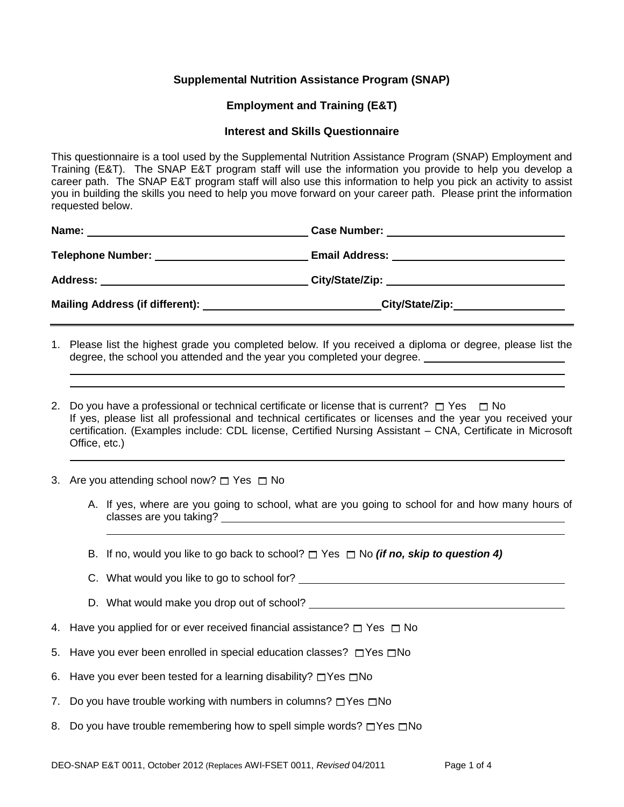## **Supplemental Nutrition Assistance Program (SNAP)**

## **Employment and Training (E&T)**

## **Interest and Skills Questionnaire**

This questionnaire is a tool used by the Supplemental Nutrition Assistance Program (SNAP) Employment and Training (E&T). The SNAP E&T program staff will use the information you provide to help you develop a career path. The SNAP E&T program staff will also use this information to help you pick an activity to assist you in building the skills you need to help you move forward on your career path. Please print the information requested below.

| Name:<br><u> Andreas Andreas Andreas Andreas Andreas Andreas Andreas Andreas Andreas Andreas Andreas Andreas Andreas Andr</u> |                                               |
|-------------------------------------------------------------------------------------------------------------------------------|-----------------------------------------------|
| Telephone Number: __________________________                                                                                  | Email Address: ______________________________ |
|                                                                                                                               |                                               |
|                                                                                                                               | City/State/Zip:____________________           |
|                                                                                                                               |                                               |

- 1. Please list the highest grade you completed below. If you received a diploma or degree, please list the degree, the school you attended and the year you completed your degree.
- 2. Do you have a professional or technical certificate or license that is current?  $\Box$  Yes  $\Box$  No If yes, please list all professional and technical certificates or licenses and the year you received your certification. (Examples include: CDL license, Certified Nursing Assistant – CNA, Certificate in Microsoft Office, etc.)
- 3. Are you attending school now?  $\Box$  Yes  $\Box$  No

 

- A. If yes, where are you going to school, what are you going to school for and how many hours of classes are you taking?
- B. If no, would you like to go back to school?  $\Box$  Yes  $\Box$  No *(if no, skip to question 4)*
- C. What would you like to go to school for?
- D. What would make you drop out of school?
- 4. Have you applied for or ever received financial assistance?  $\Box$  Yes  $\Box$  No
- 5. Have you ever been enrolled in special education classes?  $\Box$  Yes  $\Box$  No
- 6. Have you ever been tested for a learning disability?  $\Box$  Yes  $\Box$  No
- 7. Do you have trouble working with numbers in columns?  $\Box$  Yes  $\Box$  No
- 8. Do you have trouble remembering how to spell simple words?  $\Box$ Yes  $\Box$ No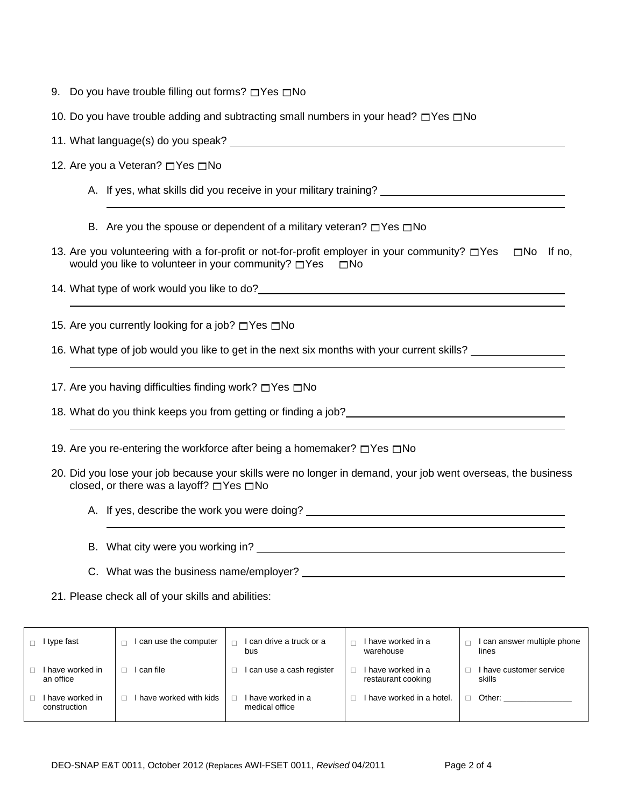- 9. Do you have trouble filling out forms?  $\Box$  Yes  $\Box$  No
- 10. Do you have trouble adding and subtracting small numbers in your head?  $\Box$  Yes  $\Box$  No
- 11. What language(s) do you speak?
- 12. Are you a Veteran?  $\Box$  Yes  $\Box$  No
	- A. If yes, what skills did you receive in your military training? \_\_\_\_\_\_\_\_\_\_\_\_\_\_
	- B. Are you the spouse or dependent of a military veteran?  $\Box$  Yes  $\Box$  No
- 13. Are you volunteering with a for-profit or not-for-profit employer in your community?  $\Box$  Yes  $\Box$  No If no, would you like to volunteer in your community?  $\Box$  Yes  $\Box$  No

14. What type of work would you like to do?

15. Are you currently looking for a job?  $\Box$  Yes  $\Box$  No

16. What type of job would you like to get in the next six months with your current skills?

17. Are you having difficulties finding work?  $\Box$  Yes  $\Box$  No

- 18. What do you think keeps you from getting or finding a job?
- 19. Are you re-entering the workforce after being a homemaker?  $\Box$  Yes  $\Box$  No
- 20. Did you lose your job because your skills were no longer in demand, your job went overseas, the business closed, or there was a layoff?  $\Box$  Yes  $\Box$  No
	- A. If yes, describe the work you were doing?
	- B. What city were you working in?
	- C. What was the business name/employer?
- 21. Please check all of your skills and abilities:

| type fast                      | can use the computer  | I can drive a truck or a<br>bus      | I have worked in a<br>warehouse          | I can answer multiple phone<br>lines |
|--------------------------------|-----------------------|--------------------------------------|------------------------------------------|--------------------------------------|
| have worked in<br>an office    | can file              | I can use a cash register            | I have worked in a<br>restaurant cooking | I have customer service<br>skills    |
| have worked in<br>construction | have worked with kids | I have worked in a<br>medical office | I have worked in a hotel.                | Other:                               |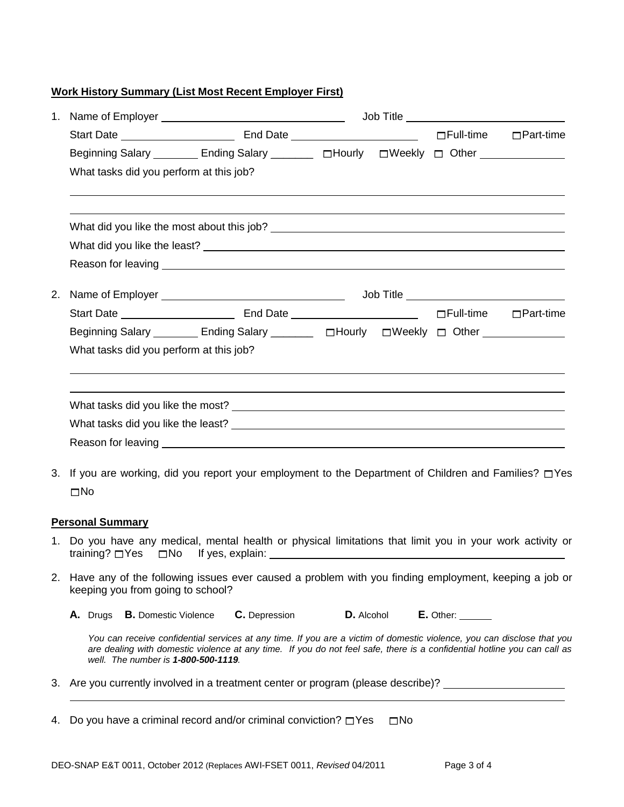## **Work History Summary (List Most Recent Employer First)**

|    | 1. Name of Employer example and the state of the state of the state of the state of the state of the state of the state of the state of the state of the state of the state of the state of the state of the state of the stat                                                            |                                                                                                      |            | Job Title ______________________________ |                                    |  |  |  |  |  |  |
|----|-------------------------------------------------------------------------------------------------------------------------------------------------------------------------------------------------------------------------------------------------------------------------------------------|------------------------------------------------------------------------------------------------------|------------|------------------------------------------|------------------------------------|--|--|--|--|--|--|
|    |                                                                                                                                                                                                                                                                                           |                                                                                                      |            |                                          |                                    |  |  |  |  |  |  |
|    | Beginning Salary _________ Ending Salary _________ □Hourly □ Weekly □ Other _______________                                                                                                                                                                                               |                                                                                                      |            |                                          |                                    |  |  |  |  |  |  |
|    |                                                                                                                                                                                                                                                                                           | What tasks did you perform at this job?                                                              |            |                                          |                                    |  |  |  |  |  |  |
|    |                                                                                                                                                                                                                                                                                           |                                                                                                      |            |                                          |                                    |  |  |  |  |  |  |
|    |                                                                                                                                                                                                                                                                                           |                                                                                                      |            |                                          |                                    |  |  |  |  |  |  |
|    |                                                                                                                                                                                                                                                                                           |                                                                                                      |            |                                          |                                    |  |  |  |  |  |  |
| 2. |                                                                                                                                                                                                                                                                                           |                                                                                                      |            |                                          |                                    |  |  |  |  |  |  |
|    |                                                                                                                                                                                                                                                                                           |                                                                                                      |            |                                          |                                    |  |  |  |  |  |  |
|    | Beginning Salary ________ Ending Salary ________ □Hourly □Weekly □ Other ____________                                                                                                                                                                                                     |                                                                                                      |            |                                          |                                    |  |  |  |  |  |  |
|    | What tasks did you perform at this job?                                                                                                                                                                                                                                                   |                                                                                                      |            |                                          |                                    |  |  |  |  |  |  |
|    |                                                                                                                                                                                                                                                                                           |                                                                                                      |            |                                          |                                    |  |  |  |  |  |  |
|    |                                                                                                                                                                                                                                                                                           |                                                                                                      |            |                                          |                                    |  |  |  |  |  |  |
|    |                                                                                                                                                                                                                                                                                           |                                                                                                      |            |                                          |                                    |  |  |  |  |  |  |
|    |                                                                                                                                                                                                                                                                                           |                                                                                                      |            |                                          |                                    |  |  |  |  |  |  |
| 3. |                                                                                                                                                                                                                                                                                           | If you are working, did you report your employment to the Department of Children and Families? □ Yes |            |                                          |                                    |  |  |  |  |  |  |
|    | $\square$ No                                                                                                                                                                                                                                                                              |                                                                                                      |            |                                          |                                    |  |  |  |  |  |  |
|    | <b>Personal Summary</b>                                                                                                                                                                                                                                                                   |                                                                                                      |            |                                          |                                    |  |  |  |  |  |  |
|    | 1. Do you have any medical, mental health or physical limitations that limit you in your work activity or                                                                                                                                                                                 |                                                                                                      |            |                                          |                                    |  |  |  |  |  |  |
|    | 2. Have any of the following issues ever caused a problem with you finding employment, keeping a job or<br>keeping you from going to school?                                                                                                                                              |                                                                                                      |            |                                          |                                    |  |  |  |  |  |  |
|    | <b>B.</b> Domestic Violence<br>A. Drugs                                                                                                                                                                                                                                                   | C. Depression                                                                                        | D. Alcohol |                                          | $E.$ Other: $\_\_\_\_\_\_\_\_\_\_$ |  |  |  |  |  |  |
|    | You can receive confidential services at any time. If you are a victim of domestic violence, you can disclose that you<br>are dealing with domestic violence at any time. If you do not feel safe, there is a confidential hotline you can call as<br>well. The number is 1-800-500-1119. |                                                                                                      |            |                                          |                                    |  |  |  |  |  |  |
|    | 3. Are you currently involved in a treatment center or program (please describe)?                                                                                                                                                                                                         |                                                                                                      |            |                                          |                                    |  |  |  |  |  |  |

4. Do you have a criminal record and/or criminal conviction?  $\Box$  Yes  $\Box$  No